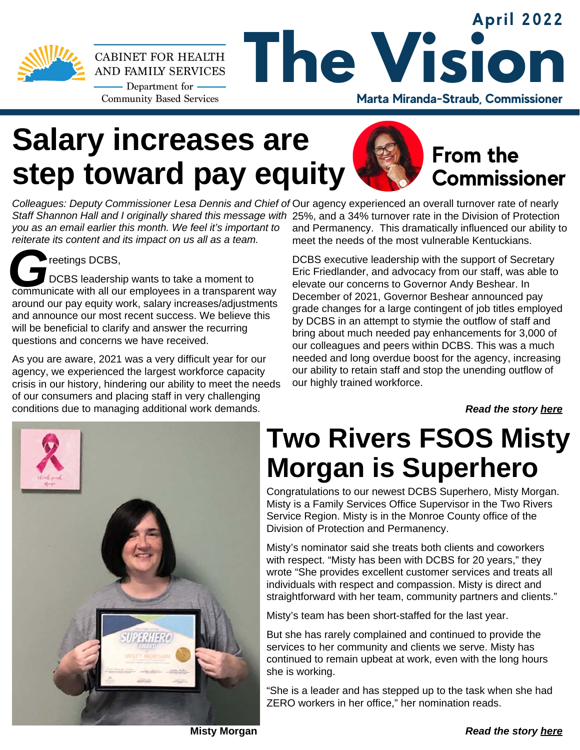

#### **April 2022 The Vision CABINET FOR HEALTH** AND FAMILY SERVICES - Department for -**Community Based Services Marta Miranda-Straub, Commissioner**

# **Salary increases are step toward pay equity**



### **From the Commissioner**

*Colleagues: Deputy Commissioner Lesa Dennis and Chief of* Our agency experienced an overall turnover rate of nearly *Staff Shannon Hall and I originally shared this message with* 25%, and a 34% turnover rate in the Division of Protection *you as an email earlier this month. We feel it's important to reiterate its content and its impact on us all as a team.*

**G**<br>COMERCIES IS IS TO DUBS IS A DODGE STATE OF A THIRD COMMUNICATE WITH A II our employees in a transparent way reetings DCBS. DCBS leadership wants to take a moment to around our pay equity work, salary increases/adjustments and announce our most recent success. We believe this will be beneficial to clarify and answer the recurring questions and concerns we have received.

As you are aware, 2021 was a very difficult year for our agency, we experienced the largest workforce capacity crisis in our history, hindering our ability to meet the needs of our consumers and placing staff in very challenging conditions due to managing additional work demands.

and Permanency. This dramatically influenced our ability to meet the needs of the most vulnerable Kentuckians.

DCBS executive leadership with the support of Secretary Eric Friedlander, and advocacy from our staff, was able to elevate our concerns to Governor Andy Beshear. In December of 2021, Governor Beshear announced pay grade changes for a large contingent of job titles employed by DCBS in an attempt to stymie the outflow of staff and bring about much needed pay enhancements for 3,000 of our colleagues and peers within DCBS. This was a much needed and long overdue boost for the agency, increasing our ability to retain staff and stop the unending outflow of our highly trained workforce.

*Read the story [here](https://drive.google.com/file/d/1UHMWSd9qesOWHrW8ueSGAduSR16v9ONJ/view?usp=sharing)*



# **Two Rivers FSOS Misty Morgan is Superhero**

Congratulations to our newest DCBS Superhero, Misty Morgan. Misty is a Family Services Office Supervisor in the Two Rivers Service Region. Misty is in the Monroe County office of the Division of Protection and Permanency.

Misty's nominator said she treats both clients and coworkers with respect. "Misty has been with DCBS for 20 years," they wrote "She provides excellent customer services and treats all individuals with respect and compassion. Misty is direct and straightforward with her team, community partners and clients."

Misty's team has been short-staffed for the last year.

But she has rarely complained and continued to provide the services to her community and clients we serve. Misty has continued to remain upbeat at work, even with the long hours she is working.

"She is a leader and has stepped up to the task when she had ZERO workers in her office," her nomination reads.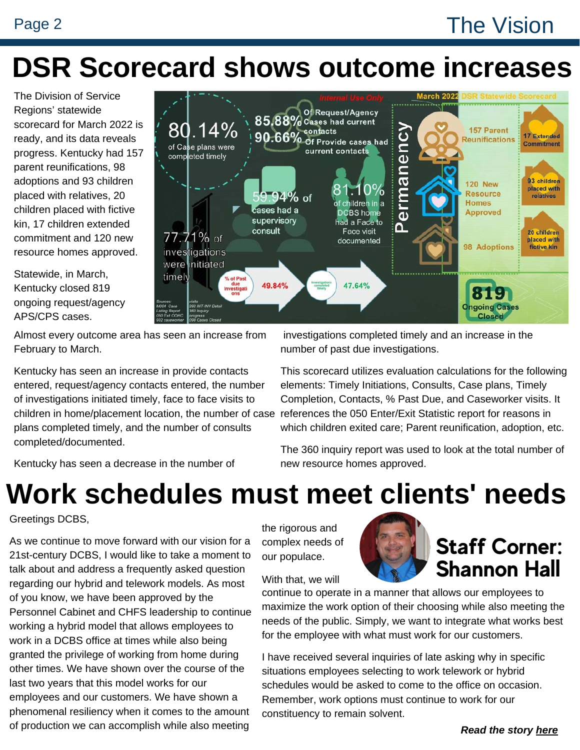## Page 2 The Vision

# **DSR Scorecard shows outcome increases**

The Division of Service Regions' statewide scorecard for March 2022 is ready, and its data reveals progress. Kentucky had 157 parent reunifications, 98 adoptions and 93 children placed with relatives, 20 children placed with fictive kin, 17 children extended commitment and 120 new resource homes approved.

Statewide, in March, Kentucky closed 819 ongoing request/agency APS/CPS cases.



Almost every outcome area has seen an increase from February to March.

Kentucky has seen an increase in provide contacts entered, request/agency contacts entered, the number of investigations initiated timely, face to face visits to plans completed timely, and the number of consults completed/documented.

Kentucky has seen a decrease in the number of

investigations completed timely and an increase in the number of past due investigations.

children in home/placement location, the number of case references the 050 Enter/Exit Statistic report for reasons in This scorecard utilizes evaluation calculations for the following elements: Timely Initiations, Consults, Case plans, Timely Completion, Contacts, % Past Due, and Caseworker visits. It which children exited care; Parent reunification, adoption, etc.

> The 360 inquiry report was used to look at the total number of new resource homes approved.

# **Work schedules must meet clients' needs**

Greetings DCBS,

As we continue to move forward with our vision for a 21st-century DCBS, I would like to take a moment to talk about and address a frequently asked question regarding our hybrid and telework models. As most of you know, we have been approved by the Personnel Cabinet and CHFS leadership to continue working a hybrid model that allows employees to work in a DCBS office at times while also being granted the privilege of working from home during other times. We have shown over the course of the last two years that this model works for our employees and our customers. We have shown a phenomenal resiliency when it comes to the amount of production we can accomplish while also meeting

the rigorous and complex needs of our populace.

#### With that, we will



# **Staff Corner: Shannon Hall**

continue to operate in a manner that allows our employees to maximize the work option of their choosing while also meeting the needs of the public. Simply, we want to integrate what works best for the employee with what must work for our customers.

I have received several inquiries of late asking why in specific situations employees selecting to work telework or hybrid schedules would be asked to come to the office on occasion. Remember, work options must continue to work for our constituency to remain solvent.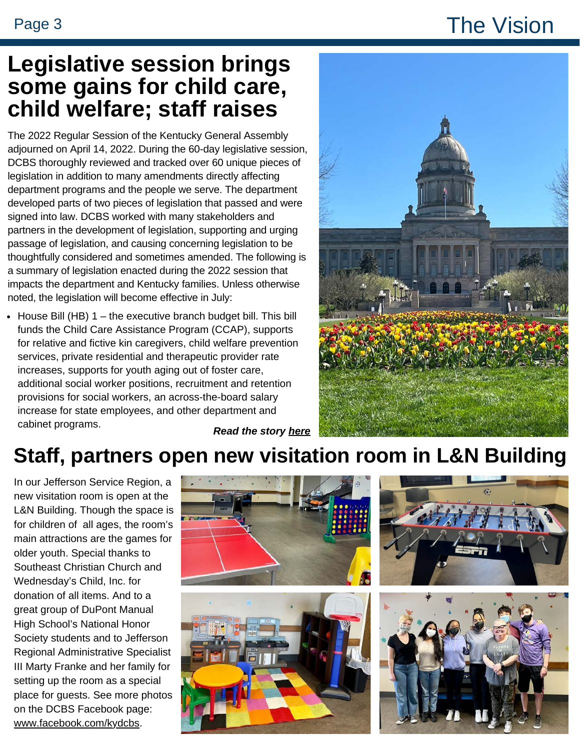## Page 3 The Vision

### **Legislative session brings some gains for child care, child welfare; staff raises**

The 2022 Regular Session of the Kentucky General Assembly adjourned on April 14, 2022. During the 60-day legislative session, DCBS thoroughly reviewed and tracked over 60 unique pieces of legislation in addition to many amendments directly affecting department programs and the people we serve. The department developed parts of two pieces of legislation that passed and were signed into law. DCBS worked with many stakeholders and partners in the development of legislation, supporting and urging passage of legislation, and causing concerning legislation to be thoughtfully considered and sometimes amended. The following is a summary of legislation enacted during the 2022 session that impacts the department and Kentucky families. Unless otherwise noted, the legislation will become effective in July:

*Read the story [here](https://drive.google.com/file/d/1BYNjL14ByJ5oyZCunKpdNC4G5iKen6x4/view?usp=sharing)*  $\bullet$  House Bill (HB)  $1$  – the executive branch budget bill. This bill funds the Child Care Assistance Program (CCAP), supports for relative and fictive kin caregivers, child welfare prevention services, private residential and therapeutic provider rate increases, supports for youth aging out of foster care, additional social worker positions, recruitment and retention provisions for social workers, an across-the-board salary increase for state employees, and other department and cabinet programs.



### **Staff, partners open new visitation room in L&N Building**

In our Jefferson Service Region, a new visitation room is open at the L&N Building. Though the space is for children of all ages, the room's main attractions are the games for older youth. Special thanks to Southeast Christian Church and Wednesday's Child, Inc. for donation of all items. And to a great group of DuPont Manual High School's National Honor Society students and to Jefferson Regional Administrative Specialist III Marty Franke and her family for setting up the room as a special place for guests. See more photos on the DCBS Facebook page: [www.facebook.com/kydcbs.](http://www.facebook.com/kydcbs)







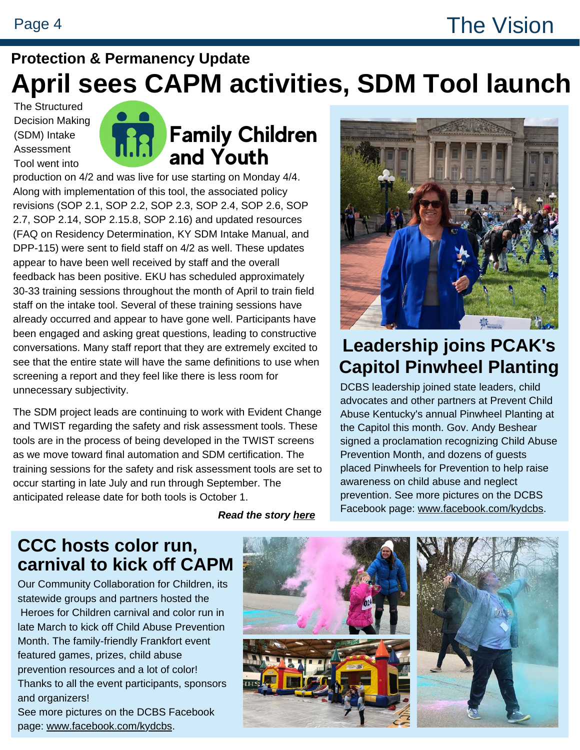### **Protection & Permanency Update April sees CAPM activities, SDM Tool launch**

The Structured Decision Making (SDM) Intake Assessment Tool went into



**Family Children and Youth**

production on 4/2 and was live for use starting on Monday 4/4. Along with implementation of this tool, the associated policy revisions (SOP 2.1, SOP 2.2, SOP 2.3, SOP 2.4, SOP 2.6, SOP 2.7, SOP 2.14, SOP 2.15.8, SOP 2.16) and updated resources (FAQ on Residency Determination, KY SDM Intake Manual, and DPP-115) were sent to field staff on 4/2 as well. These updates appear to have been well received by staff and the overall feedback has been positive. EKU has scheduled approximately 30-33 training sessions throughout the month of April to train field staff on the intake tool. Several of these training sessions have already occurred and appear to have gone well. Participants have been engaged and asking great questions, leading to constructive conversations. Many staff report that they are extremely excited to see that the entire state will have the same definitions to use when screening a report and they feel like there is less room for unnecessary subjectivity.

The SDM project leads are continuing to work with Evident Change and TWIST regarding the safety and risk assessment tools. These tools are in the process of being developed in the TWIST screens as we move toward final automation and SDM certification. The training sessions for the safety and risk assessment tools are set to occur starting in late July and run through September. The anticipated release date for both tools is October 1.

*Read the story [here](https://drive.google.com/file/d/1WOL2Qq9FUmhfZ6mR96DNvu0jzv4j9p2M/view?usp=sharing)*



#### **Leadership joins PCAK's Capitol Pinwheel Planting**

DCBS leadership joined state leaders, child advocates and other partners at Prevent Child Abuse Kentucky's annual Pinwheel Planting at the Capitol this month. Gov. Andy Beshear signed a proclamation recognizing Child Abuse Prevention Month, and dozens of guests placed Pinwheels for Prevention to help raise awareness on child abuse and neglect prevention. See more pictures on the DCBS Facebook page: [www.facebook.com/kydcbs.](http://www.facebook.com/kydcbs)

#### **CCC hosts color run, carnival to kick off CAPM**

Our Community Collaboration for Children, its statewide groups and partners hosted the Heroes for Children carnival and color run in late March to kick off Child Abuse Prevention Month. The family-friendly Frankfort event featured games, prizes, child abuse prevention resources and a lot of color! Thanks to all the event participants, sponsors and organizers! See more pictures on the DCBS Facebook

page: [www.facebook.com/kydcbs](http://www.facebook.com/kydcbs).